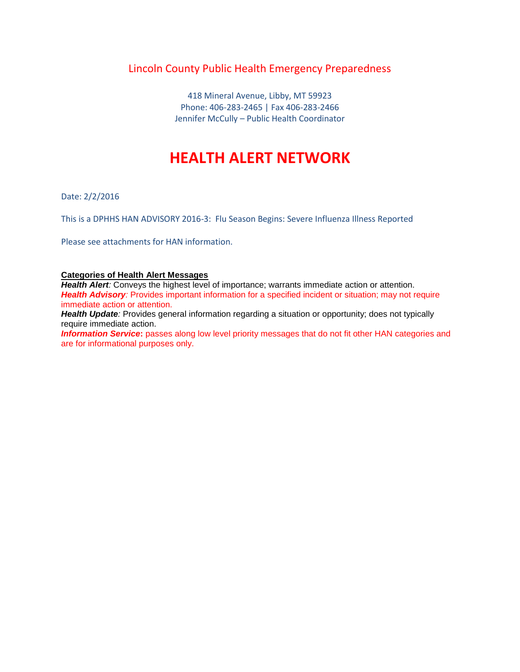### Lincoln County Public Health Emergency Preparedness

418 Mineral Avenue, Libby, MT 59923 Phone: 406-283-2465 | Fax 406-283-2466 Jennifer McCully – Public Health Coordinator

## **HEALTH ALERT NETWORK**

Date: 2/2/2016

This is a DPHHS HAN ADVISORY 2016-3: Flu Season Begins: Severe Influenza Illness Reported

Please see attachments for HAN information.

### **Categories of Health Alert Messages**

Health Alert: Conveys the highest level of importance; warrants immediate action or attention. **Health Advisory**: Provides important information for a specified incident or situation; may not require immediate action or attention.

*Health Update:* Provides general information regarding a situation or opportunity; does not typically require immediate action.

**Information Service:** passes along low level priority messages that do not fit other HAN categories and are for informational purposes only.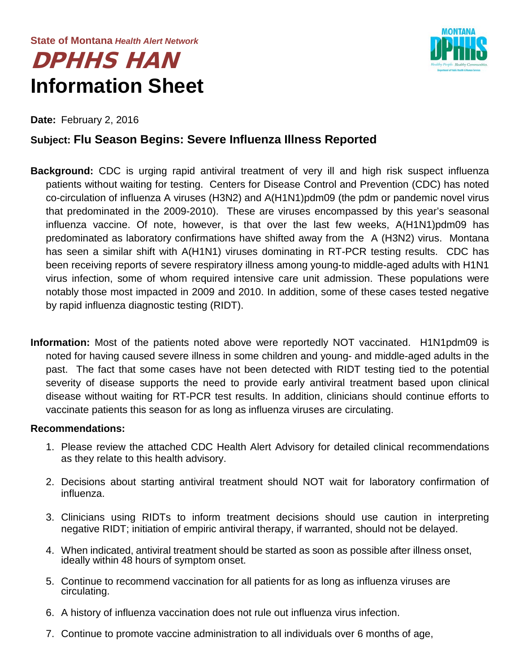# DPHHS HAN **Information Sheet**



**Date:** February 2, 2016

### **Subject: Flu Season Begins: Severe Influenza Illness Reported**

- **Background:** CDC is urging rapid antiviral treatment of very ill and high risk suspect influenza patients without waiting for testing. Centers for Disease Control and Prevention (CDC) has noted co-circulation of influenza A viruses (H3N2) and A(H1N1)pdm09 (the pdm or pandemic novel virus that predominated in the 2009-2010). These are viruses encompassed by this year's seasonal influenza vaccine. Of note, however, is that over the last few weeks, A(H1N1)pdm09 has predominated as laboratory confirmations have shifted away from the A (H3N2) virus. Montana has seen a similar shift with A(H1N1) viruses dominating in RT-PCR testing results. CDC has been receiving reports of severe respiratory illness among young-to middle-aged adults with H1N1 virus infection, some of whom required intensive care unit admission. These populations were notably those most impacted in 2009 and 2010. In addition, some of these cases tested negative by rapid influenza diagnostic testing (RIDT).
- **Information:** Most of the patients noted above were reportedly NOT vaccinated. H1N1pdm09 is noted for having caused severe illness in some children and young- and middle-aged adults in the past. The fact that some cases have not been detected with RIDT testing tied to the potential severity of disease supports the need to provide early antiviral treatment based upon clinical disease without waiting for RT-PCR test results. In addition, clinicians should continue efforts to vaccinate patients this season for as long as influenza viruses are circulating.

### **Recommendations:**

- 1. Please review the attached CDC Health Alert Advisory for detailed clinical recommendations as they relate to this health advisory.
- 2. Decisions about starting antiviral treatment should NOT wait for laboratory confirmation of influenza.
- 3. Clinicians using RIDTs to inform treatment decisions should use caution in interpreting negative RIDT; initiation of empiric antiviral therapy, if warranted, should not be delayed.
- 4. When indicated, antiviral treatment should be started as soon as possible after illness onset, ideally within 48 hours of symptom onset.
- 5. Continue to recommend vaccination for all patients for as long as influenza viruses are circulating.
- 6. A history of influenza vaccination does not rule out influenza virus infection.
- 7. Continue to promote vaccine administration to all individuals over 6 months of age,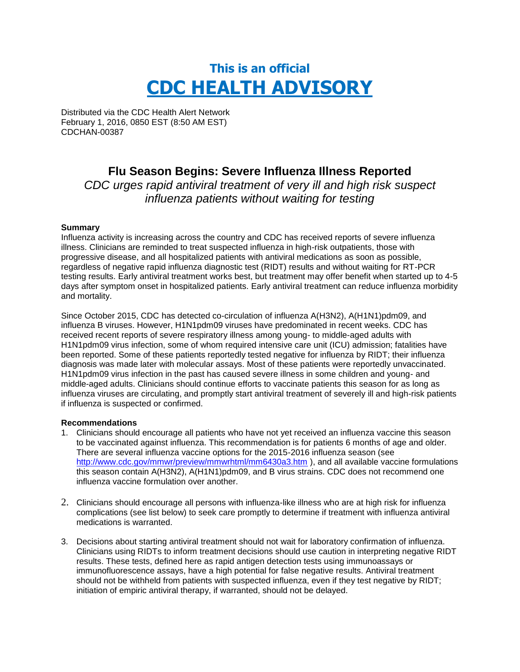# **This is an official CDC HEALTH ADVISORY**

Distributed via the CDC Health Alert Network February 1, 2016, 0850 EST (8:50 AM EST) CDCHAN-00387

### **Flu Season Begins: Severe Influenza Illness Reported**

*CDC urges rapid antiviral treatment of very ill and high risk suspect influenza patients without waiting for testing*

### **Summary**

Influenza activity is increasing across the country and CDC has received reports of severe influenza illness. Clinicians are reminded to treat suspected influenza in high-risk outpatients, those with progressive disease, and all hospitalized patients with antiviral medications as soon as possible, regardless of negative rapid influenza diagnostic test (RIDT) results and without waiting for RT-PCR testing results. Early antiviral treatment works best, but treatment may offer benefit when started up to 4-5 days after symptom onset in hospitalized patients. Early antiviral treatment can reduce influenza morbidity and mortality.

Since October 2015, CDC has detected co-circulation of influenza A(H3N2), A(H1N1)pdm09, and influenza B viruses. However, H1N1pdm09 viruses have predominated in recent weeks. CDC has received recent reports of severe respiratory illness among young- to middle-aged adults with H1N1pdm09 virus infection, some of whom required intensive care unit (ICU) admission; fatalities have been reported. Some of these patients reportedly tested negative for influenza by RIDT; their influenza diagnosis was made later with molecular assays. Most of these patients were reportedly unvaccinated. H1N1pdm09 virus infection in the past has caused severe illness in some children and young- and middle-aged adults. Clinicians should continue efforts to vaccinate patients this season for as long as influenza viruses are circulating, and promptly start antiviral treatment of severely ill and high-risk patients if influenza is suspected or confirmed.

#### **Recommendations**

- 1. Clinicians should encourage all patients who have not yet received an influenza vaccine this season to be vaccinated against influenza. This recommendation is for patients 6 months of age and older. There are several influenza vaccine options for the 2015-2016 influenza season (see <http://www.cdc.gov/mmwr/preview/mmwrhtml/mm6430a3.htm> ), and all available vaccine formulations this season contain A(H3N2), A(H1N1)pdm09, and B virus strains. CDC does not recommend one influenza vaccine formulation over another.
- 2. Clinicians should encourage all persons with influenza-like illness who are at high risk for influenza complications (see list below) to seek care promptly to determine if treatment with influenza antiviral medications is warranted.
- 3. Decisions about starting antiviral treatment should not wait for laboratory confirmation of influenza. Clinicians using RIDTs to inform treatment decisions should use caution in interpreting negative RIDT results. These tests, defined here as rapid antigen detection tests using immunoassays or immunofluorescence assays, have a high potential for false negative results. Antiviral treatment should not be withheld from patients with suspected influenza, even if they test negative by RIDT; initiation of empiric antiviral therapy, if warranted, should not be delayed.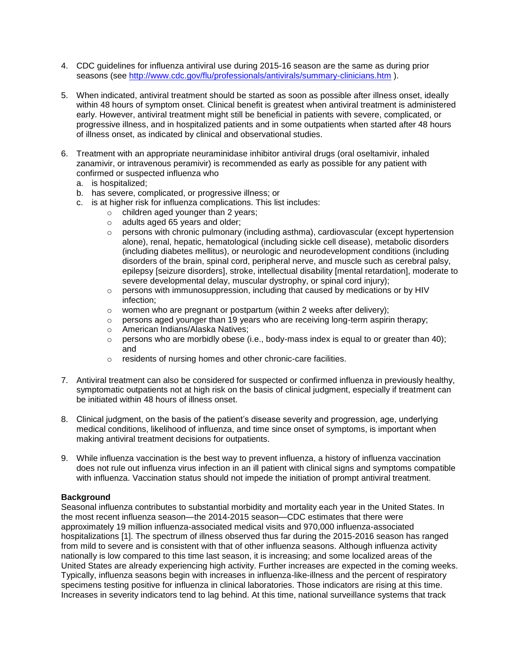- 4. CDC guidelines for influenza antiviral use during 2015-16 season are the same as during prior seasons (see<http://www.cdc.gov/flu/professionals/antivirals/summary-clinicians.htm> ).
- 5. When indicated, antiviral treatment should be started as soon as possible after illness onset, ideally within 48 hours of symptom onset. Clinical benefit is greatest when antiviral treatment is administered early. However, antiviral treatment might still be beneficial in patients with severe, complicated, or progressive illness, and in hospitalized patients and in some outpatients when started after 48 hours of illness onset, as indicated by clinical and observational studies.
- 6. Treatment with an appropriate neuraminidase inhibitor antiviral drugs (oral oseltamivir, inhaled zanamivir, or intravenous peramivir) is recommended as early as possible for any patient with confirmed or suspected influenza who
	- a. is hospitalized;
	- b. has severe, complicated, or progressive illness; or
	- c. is at higher risk for influenza complications. This list includes:
		- o children aged younger than 2 years;
		- o adults aged 65 years and older;
		- $\circ$  persons with chronic pulmonary (including asthma), cardiovascular (except hypertension alone), renal, hepatic, hematological (including sickle cell disease), metabolic disorders (including diabetes mellitus), or neurologic and neurodevelopment conditions (including disorders of the brain, spinal cord, peripheral nerve, and muscle such as cerebral palsy, epilepsy [seizure disorders], stroke, intellectual disability [mental retardation], moderate to severe developmental delay, muscular dystrophy, or spinal cord injury);
		- $\circ$  persons with immunosuppression, including that caused by medications or by HIV infection;
		- $\circ$  women who are pregnant or postpartum (within 2 weeks after delivery);
		- $\circ$  persons aged younger than 19 years who are receiving long-term aspirin therapy;
		- o American Indians/Alaska Natives;
		- $\circ$  persons who are morbidly obese (i.e., body-mass index is equal to or greater than 40); and
		- o residents of nursing homes and other chronic-care facilities.
- 7. Antiviral treatment can also be considered for suspected or confirmed influenza in previously healthy, symptomatic outpatients not at high risk on the basis of clinical judgment, especially if treatment can be initiated within 48 hours of illness onset.
- 8. Clinical judgment, on the basis of the patient's disease severity and progression, age, underlying medical conditions, likelihood of influenza, and time since onset of symptoms, is important when making antiviral treatment decisions for outpatients.
- 9. While influenza vaccination is the best way to prevent influenza, a history of influenza vaccination does not rule out influenza virus infection in an ill patient with clinical signs and symptoms compatible with influenza. Vaccination status should not impede the initiation of prompt antiviral treatment.

#### **Background**

Seasonal influenza contributes to substantial morbidity and mortality each year in the United States. In the most recent influenza season—the 2014-2015 season—CDC estimates that there were approximately 19 million influenza-associated medical visits and 970,000 influenza-associated hospitalizations [1]. The spectrum of illness observed thus far during the 2015-2016 season has ranged from mild to severe and is consistent with that of other influenza seasons. Although influenza activity nationally is low compared to this time last season, it is increasing; and some localized areas of the United States are already experiencing high activity. Further increases are expected in the coming weeks. Typically, influenza seasons begin with increases in influenza-like-illness and the percent of respiratory specimens testing positive for influenza in clinical laboratories. Those indicators are rising at this time. Increases in severity indicators tend to lag behind. At this time, national surveillance systems that track